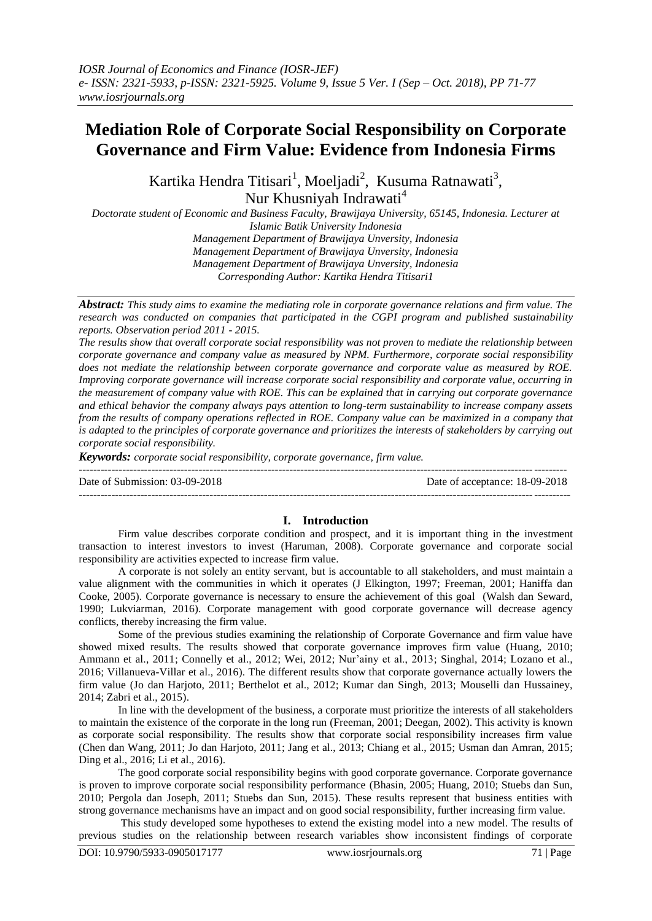# **Mediation Role of Corporate Social Responsibility on Corporate Governance and Firm Value: Evidence from Indonesia Firms**

Kartika Hendra Titisari<sup>1</sup>, Moeljadi<sup>2</sup>, Kusuma Ratnawati<sup>3</sup>, Nur Khusniyah Indrawati<sup>4</sup>

*Doctorate student of Economic and Business Faculty, Brawijaya University, 65145, Indonesia. Lecturer at Islamic Batik University Indonesia*

*Management Department of Brawijaya Unversity, Indonesia Management Department of Brawijaya Unversity, Indonesia Management Department of Brawijaya Unversity, Indonesia Corresponding Author: Kartika Hendra Titisari1*

*Abstract: This study aims to examine the mediating role in corporate governance relations and firm value. The research was conducted on companies that participated in the CGPI program and published sustainability reports. Observation period 2011 - 2015.*

*The results show that overall corporate social responsibility was not proven to mediate the relationship between corporate governance and company value as measured by NPM. Furthermore, corporate social responsibility does not mediate the relationship between corporate governance and corporate value as measured by ROE. Improving corporate governance will increase corporate social responsibility and corporate value, occurring in the measurement of company value with ROE. This can be explained that in carrying out corporate governance and ethical behavior the company always pays attention to long-term sustainability to increase company assets from the results of company operations reflected in ROE. Company value can be maximized in a company that is adapted to the principles of corporate governance and prioritizes the interests of stakeholders by carrying out corporate social responsibility.*

--------------------------------------------------------------------------------------------------------------------------------------

---------------------------------------------------------------------------------------------------------------------------------------

*Keywords: corporate social responsibility, corporate governance, firm value.*

Date of Submission: 03-09-2018 Date of acceptance: 18-09-2018

# **I. Introduction**

Firm value describes corporate condition and prospect, and it is important thing in the investment transaction to interest investors to invest [\(Haruman, 2008\)](#page-6-0). Corporate governance and corporate social responsibility are activities expected to increase firm value.

A corporate is not solely an entity servant, but is accountable to all stakeholders, and must maintain a value alignment with the communities in which it operates [\(J Elkington, 1997;](#page-6-1) [Freeman, 2001;](#page-6-2) [Haniffa dan](#page-6-3)  [Cooke, 2005\)](#page-6-3). Corporate governance is necessary to ensure the achievement of this goal [\(Walsh dan Seward,](#page-6-4)  [1990;](#page-6-4) [Lukviarman, 2016\)](#page-6-5). Corporate management with good corporate governance will decrease agency conflicts, thereby increasing the firm value.

Some of the previous studies examining the relationship of Corporate Governance and firm value have showed mixed results. The results showed that corporate governance improves firm value [\(Huang, 2010;](#page-6-6) [Ammann et al., 2011;](#page-5-0) [Connelly et al., 2012;](#page-6-7) [Wei, 2012;](#page-6-8) [Nur'ainy et al., 2013;](#page-6-9) [Singhal, 2014;](#page-6-10) [Lozano et al.,](#page-6-11)  [2016;](#page-6-11) [Villanueva-Villar et al., 2016\)](#page-6-12). The different results show that corporate governance actually lowers the firm value [\(Jo dan Harjoto, 2011;](#page-6-13) [Berthelot et al., 2012;](#page-6-14) [Kumar dan Singh, 2013;](#page-6-15) [Mouselli dan Hussainey,](#page-6-16)  [2014;](#page-6-16) [Zabri et al., 2015\)](#page-6-17).

In line with the development of the business, a corporate must prioritize the interests of all stakeholders to maintain the existence of the corporate in the long run [\(Freeman, 2001;](#page-6-2) [Deegan, 2002\)](#page-6-18). This activity is known as corporate social responsibility. The results show that corporate social responsibility increases firm value [\(Chen dan Wang, 2011;](#page-6-19) [Jo dan Harjoto, 2011;](#page-6-13) [Jang et al., 2013;](#page-6-20) [Chiang et al., 2015;](#page-6-21) [Usman dan Amran, 2015;](#page-6-22) [Ding et al., 2016;](#page-6-23) [Li et al., 2016\)](#page-6-24).

The good corporate social responsibility begins with good corporate governance. Corporate governance is proven to improve corporate social responsibility performance [\(Bhasin, 2005;](#page-6-25) [Huang, 2010;](#page-6-6) [Stuebs dan Sun,](#page-6-26)  [2010;](#page-6-26) [Pergola dan Joseph, 2011;](#page-6-27) [Stuebs dan Sun, 2015\)](#page-6-28). These results represent that business entities with strong governance mechanisms have an impact and on good social responsibility, further increasing firm value.

This study developed some hypotheses to extend the existing model into a new model. The results of previous studies on the relationship between research variables show inconsistent findings of corporate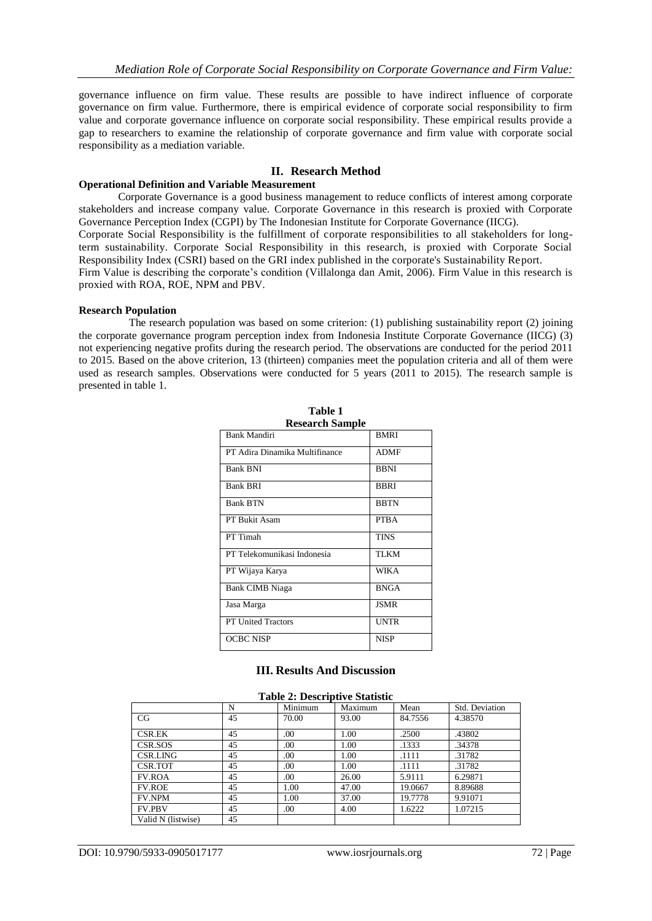governance influence on firm value. These results are possible to have indirect influence of corporate governance on firm value. Furthermore, there is empirical evidence of corporate social responsibility to firm value and corporate governance influence on corporate social responsibility. These empirical results provide a gap to researchers to examine the relationship of corporate governance and firm value with corporate social responsibility as a mediation variable.

# **II. Research Method**

### **Operational Definition and Variable Measurement**

Corporate Governance is a good business management to reduce conflicts of interest among corporate stakeholders and increase company value. Corporate Governance in this research is proxied with Corporate Governance Perception Index (CGPI) by The Indonesian Institute for Corporate Governance (IICG). Corporate Social Responsibility is the fulfillment of corporate responsibilities to all stakeholders for longterm sustainability. Corporate Social Responsibility in this research, is proxied with Corporate Social Responsibility Index (CSRI) based on the GRI index published in the corporate's Sustainability Report. Firm Value is describing the corporate's condition [\(Villalonga dan Amit, 2006\)](#page-6-29). Firm Value in this research is proxied with ROA, ROE, NPM and PBV.

### **Research Population**

The research population was based on some criterion: (1) publishing sustainability report (2) joining the corporate governance program perception index from Indonesia Institute Corporate Governance (IICG) (3) not experiencing negative profits during the research period. The observations are conducted for the period 2011 to 2015. Based on the above criterion, 13 (thirteen) companies meet the population criteria and all of them were used as research samples. Observations were conducted for 5 years (2011 to 2015). The research sample is presented in table 1.

| <b>Research Sample</b>         |             |  |  |  |
|--------------------------------|-------------|--|--|--|
| <b>Bank Mandiri</b>            | <b>BMRI</b> |  |  |  |
| PT Adira Dinamika Multifinance | <b>ADMF</b> |  |  |  |
| <b>Bank BNI</b>                | <b>BBNI</b> |  |  |  |
| <b>Bank BRI</b>                | <b>BBRI</b> |  |  |  |
| <b>Bank BTN</b>                | <b>BBTN</b> |  |  |  |
| PT Bukit Asam                  | <b>PTBA</b> |  |  |  |
| PT Timah                       | <b>TINS</b> |  |  |  |
| PT Telekomunikasi Indonesia    | <b>TLKM</b> |  |  |  |
| PT Wijaya Karya                | <b>WIKA</b> |  |  |  |
| <b>Bank CIMB Niaga</b>         | <b>BNGA</b> |  |  |  |
| Jasa Marga                     | <b>JSMR</b> |  |  |  |
| <b>PT United Tractors</b>      | <b>UNTR</b> |  |  |  |
| <b>OCBC NISP</b>               | <b>NISP</b> |  |  |  |

**Table 1**

# **III. Results And Discussion**

#### **Table 2: Descriptive Statistic**

|                    | N  | Minimum | Maximum | Mean    | Std. Deviation |
|--------------------|----|---------|---------|---------|----------------|
| CG                 | 45 | 70.00   | 93.00   | 84.7556 | 4.38570        |
| <b>CSR.EK</b>      | 45 | .00     | 1.00    | .2500   | .43802         |
|                    |    |         |         |         |                |
| CSR.SOS            | 45 | .00     | 1.00    | .1333   | .34378         |
| CSR.LING           | 45 | .00     | 1.00    | .1111   | .31782         |
| CSR.TOT            | 45 | .00     | 1.00    | .1111   | .31782         |
| <b>FV.ROA</b>      | 45 | .00     | 26.00   | 5.9111  | 6.29871        |
| <b>FV.ROE</b>      | 45 | 1.00    | 47.00   | 19.0667 | 8.89688        |
| <b>FV.NPM</b>      | 45 | 1.00    | 37.00   | 19.7778 | 9.91071        |
| <b>FV.PBV</b>      | 45 | .00     | 4.00    | 1.6222  | 1.07215        |
| Valid N (listwise) | 45 |         |         |         |                |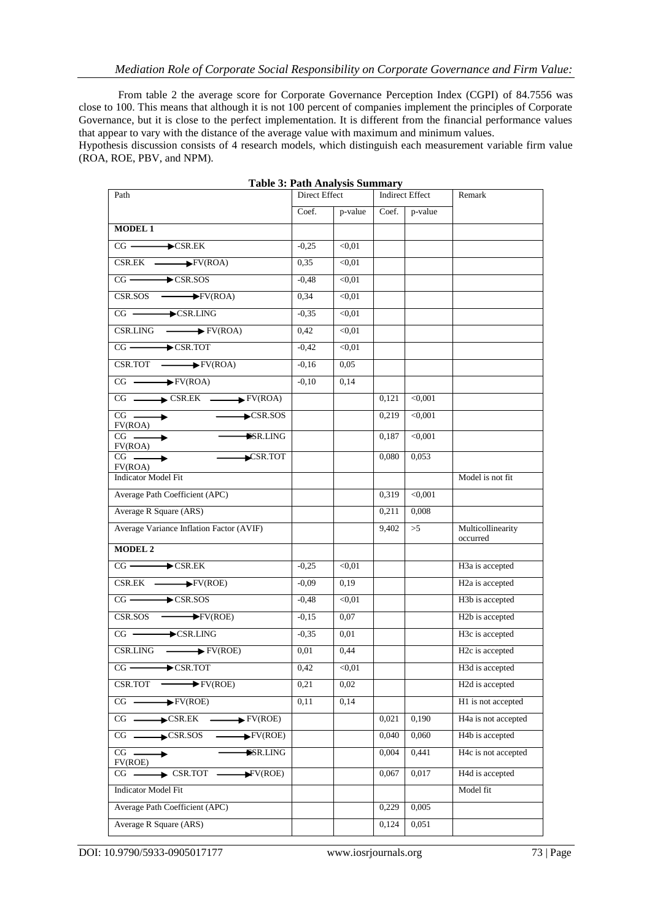From table 2 the average score for Corporate Governance Perception Index (CGPI) of 84.7556 was close to 100. This means that although it is not 100 percent of companies implement the principles of Corporate Governance, but it is close to the perfect implementation. It is different from the financial performance values that appear to vary with the distance of the average value with maximum and minimum values.

Hypothesis discussion consists of 4 research models, which distinguish each measurement variable firm value (ROA, ROE, PBV, and NPM).

| Path                                                                       | 1 apre 5: 1 am Tinaryon Danmary<br>Direct Effect |               | <b>Indirect Effect</b> |         | Remark                           |
|----------------------------------------------------------------------------|--------------------------------------------------|---------------|------------------------|---------|----------------------------------|
|                                                                            | Coef.                                            | p-value       | Coef.                  | p-value |                                  |
| <b>MODEL 1</b>                                                             |                                                  |               |                        |         |                                  |
| $CG \longrightarrow \text{CSR.EK}$                                         | $-0,25$                                          | < 0.01        |                        |         |                                  |
| $CSR.EK$ $\longrightarrow$ $FV(ROA)$                                       | 0,35                                             | $\sqrt{0.01}$ |                        |         |                                  |
| $CG \longrightarrow \text{CSR.}$ SOS                                       | $-0,48$                                          | < 0.01        |                        |         |                                  |
| $CSR.SOS$ $\longrightarrow$ $FV(ROA)$                                      | 0.34                                             | < 0.01        |                        |         |                                  |
| $CG \longrightarrow \text{CSR.LING}$                                       | $-0,35$                                          | < 0.01        |                        |         |                                  |
| $CSR.LING \longrightarrow FV(ROA)$                                         | 0,42                                             | < 0.01        |                        |         |                                  |
| $CG \longrightarrow \text{CSR.TOT}$                                        | $-0,42$                                          | < 0.01        |                        |         |                                  |
| $CSR.TOT \longrightarrow FV(ROA)$                                          | $-0,16$                                          | 0,05          |                        |         |                                  |
| $CG \longrightarrow \overline{\text{FV}(\text{ROA})}$                      | $-0,10$                                          | 0,14          |                        |         |                                  |
| $CG \longrightarrow \text{CSR.EK} \longrightarrow \text{FV(ROA)}$          |                                                  |               | 0,121                  | < 0,001 |                                  |
| $CG \longrightarrow$<br>$\xrightarrow{\text{CSR}}$ .SOS<br>FV(ROA)         |                                                  |               | 0,219                  | < 0,001 |                                  |
| $CG \longrightarrow$<br>SR.LING<br>FV(ROA)                                 |                                                  |               | 0,187                  | < 0,001 |                                  |
| CSR.TOT<br>$CG \longrightarrow$<br>FV(ROA)                                 |                                                  |               | 0,080                  | 0,053   |                                  |
| <b>Indicator Model Fit</b>                                                 |                                                  |               |                        |         | Model is not fit                 |
| Average Path Coefficient (APC)                                             |                                                  |               | 0,319                  | < 0.001 |                                  |
| Average R Square (ARS)                                                     |                                                  |               | 0,211                  | 0,008   |                                  |
| Average Variance Inflation Factor (AVIF)                                   |                                                  |               | 9,402                  | >5      | Multicollinearity<br>occurred    |
| <b>MODEL 2</b>                                                             |                                                  |               |                        |         |                                  |
| $CG \longrightarrow \text{CSR.EK}$                                         | $-0.25$                                          | < 0.01        |                        |         | H3a is accepted                  |
| $CSR.EK$ $\longrightarrow$ $FV(ROE)$                                       | $-0,09$                                          | 0,19          |                        |         | H <sub>2</sub> a is accepted     |
| $CG \longrightarrow \text{CSR.}$ SOS                                       | $-0,48$                                          | < 0.01        |                        |         | H3b is accepted                  |
| $CSR.SOS$ $\longrightarrow$ $FV(ROE)$                                      | $-0,15$                                          | 0,07          |                        |         | H <sub>2</sub> b is accepted     |
| $CG \longrightarrow \text{CSR.LING}$                                       | $-0,35$                                          | 0,01          |                        |         | H3c is accepted                  |
| $CSR.LING \longrightarrow FV(ROE)$                                         | 0,01                                             | 0.44          |                        |         | H <sub>2c</sub> is accepted      |
| $CG \longrightarrow \text{CSR.TOT}$                                        | 0,42                                             | $\sqrt{0.01}$ |                        |         | H3d is accepted                  |
| $\blacktriangleright$ FV(ROE)<br>CSR.TOT                                   | 0,21                                             | 0,02          |                        |         | H2d is accepted                  |
| $\rightarrow$ FV(ROE)<br>$CG \equiv$                                       | 0,11                                             | 0,14          |                        |         | H1 is not accepted               |
| $\rightarrow$ CSR.EK<br>$\rightarrow$ FV(ROE)<br>$CG$ —                    |                                                  |               | 0,021                  | 0,190   | H <sub>4</sub> a is not accepted |
| $\rightarrow$ CSR.SOS<br>$CG \t—$<br>$\blacktriangleright$ FV(ROE)         |                                                  |               | 0,040                  | 0,060   | H <sub>4</sub> b is accepted     |
| $CG \longrightarrow$<br><b>ESR.LING</b><br>FV(ROE)                         |                                                  |               | 0,004                  | 0,441   | H4c is not accepted              |
| $\blacktriangleright$ FV(ROE)<br>$\blacktriangleright$ CSR.TOT<br>$CG$ $-$ |                                                  |               | 0,067                  | 0,017   | H4d is accepted                  |
| <b>Indicator Model Fit</b>                                                 |                                                  |               |                        |         | Model fit                        |
| Average Path Coefficient (APC)                                             |                                                  |               | 0,229                  | 0,005   |                                  |
| Average R Square (ARS)                                                     |                                                  |               | 0,124                  | 0,051   |                                  |

**Table 3: Path Analysis Summary**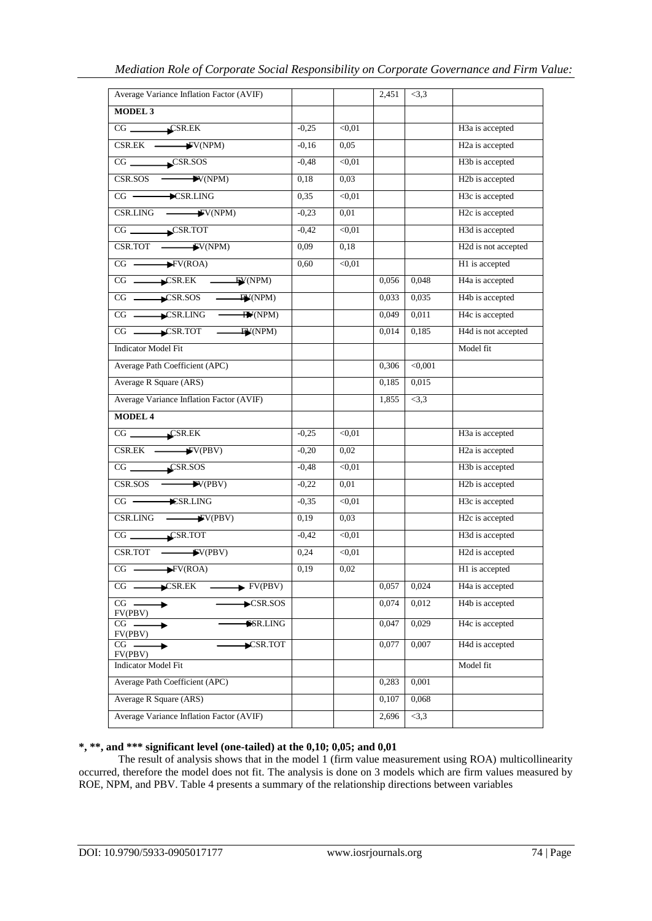| Average Variance Inflation Factor (AVIF)                                                                                                                                                                                                                                                                                                                                                             |         |        | 2,451 | <3,3    |                              |
|------------------------------------------------------------------------------------------------------------------------------------------------------------------------------------------------------------------------------------------------------------------------------------------------------------------------------------------------------------------------------------------------------|---------|--------|-------|---------|------------------------------|
| <b>MODEL 3</b>                                                                                                                                                                                                                                                                                                                                                                                       |         |        |       |         |                              |
| $CG$ $\qquad \qquad \qquad \text{CSR.EK}$                                                                                                                                                                                                                                                                                                                                                            | $-0,25$ | < 0.01 |       |         | H3a is accepted              |
| $CSR.EK$ $\longrightarrow$ $VV(NPM)$                                                                                                                                                                                                                                                                                                                                                                 | $-0,16$ | 0,05   |       |         | H <sub>2</sub> a is accepted |
| $CG$ $\qquad \qquad \qquad$ $\qquad \qquad$ $\qquad \qquad$ $\qquad$ $\qquad \qquad$ $\qquad \qquad$ $\qquad \qquad$ $\qquad \qquad$ $\qquad \qquad$ $\qquad \qquad$ $\qquad \qquad$ $\qquad \qquad$ $\qquad \qquad$ $\qquad \qquad$ $\qquad \qquad$ $\qquad \qquad$ $\qquad \qquad$ $\qquad \qquad$ $\qquad \qquad$ $\qquad \qquad$ $\qquad \qquad$ $\qquad \qquad$ $\qquad \qquad$ $\qquad \qquad$ | $-0,48$ | < 0.01 |       |         | H3b is accepted              |
| $CSR.SOS$ $\longrightarrow$ $VV(NPM)$                                                                                                                                                                                                                                                                                                                                                                | 0,18    | 0,03   |       |         | H <sub>2</sub> b is accepted |
|                                                                                                                                                                                                                                                                                                                                                                                                      | 0,35    | < 0.01 |       |         | H3c is accepted              |
| $CSR.LING$ $\longrightarrow$ $VV(NPM)$                                                                                                                                                                                                                                                                                                                                                               | $-0,23$ | 0,01   |       |         | H <sub>2c</sub> is accepted  |
| $CG$ $\longrightarrow$ CSR.TOT                                                                                                                                                                                                                                                                                                                                                                       | $-0,42$ | < 0.01 |       |         | H3d is accepted              |
| $CSR.TOT$ $\longrightarrow$ $VV(NPM)$                                                                                                                                                                                                                                                                                                                                                                | 0,09    | 0,18   |       |         | H2d is not accepted          |
| $CG \longrightarrow FV(ROA)$                                                                                                                                                                                                                                                                                                                                                                         | 0,60    | < 0.01 |       |         | H1 is accepted               |
| $CG \longrightarrow \text{CSR.EK} \longrightarrow \text{FV(NPM)}$                                                                                                                                                                                                                                                                                                                                    |         |        | 0,056 | 0,048   | H4a is accepted              |
| $CG \longrightarrow \text{CSR.}$ SOS $\longrightarrow \text{FW}(\text{NPM})$                                                                                                                                                                                                                                                                                                                         |         |        | 0,033 | 0,035   | H <sub>4</sub> b is accepted |
| $CG \longrightarrow \text{CSR.LING} \longrightarrow \text{TN}$                                                                                                                                                                                                                                                                                                                                       |         |        | 0,049 | 0,011   | H4c is accepted              |
| $CG \longrightarrow \text{CSR.TOT} \longrightarrow \text{FW}(\text{NPM})$                                                                                                                                                                                                                                                                                                                            |         |        | 0,014 | 0,185   | H4d is not accepted          |
| <b>Indicator Model Fit</b>                                                                                                                                                                                                                                                                                                                                                                           |         |        |       |         | Model fit                    |
| Average Path Coefficient (APC)                                                                                                                                                                                                                                                                                                                                                                       |         |        | 0,306 | < 0,001 |                              |
| Average R Square (ARS)                                                                                                                                                                                                                                                                                                                                                                               |         |        | 0,185 | 0,015   |                              |
| Average Variance Inflation Factor (AVIF)                                                                                                                                                                                                                                                                                                                                                             |         |        | 1,855 | <3,3    |                              |
| <b>MODEL 4</b>                                                                                                                                                                                                                                                                                                                                                                                       |         |        |       |         |                              |
| $CG$ $CR$                                                                                                                                                                                                                                                                                                                                                                                            | $-0,25$ | < 0.01 |       |         | H3a is accepted              |
| $CSR.EK$ $\longrightarrow$ $VV(PBV)$                                                                                                                                                                                                                                                                                                                                                                 | $-0,20$ | 0,02   |       |         | H <sub>2</sub> a is accepted |
| $CG$ $CR.SOS$                                                                                                                                                                                                                                                                                                                                                                                        | $-0,48$ | < 0.01 |       |         | H3b is accepted              |
| $CSR.SOS$ $\longrightarrow$ $V(PBV)$                                                                                                                                                                                                                                                                                                                                                                 | $-0,22$ | 0,01   |       |         | H <sub>2</sub> b is accepted |
| $CG$ $\longrightarrow$ $\widehat{ESR}$ . LING                                                                                                                                                                                                                                                                                                                                                        | $-0,35$ | < 0.01 |       |         | H3c is accepted              |
| $CSR.LING \longrightarrow V(PBV)$                                                                                                                                                                                                                                                                                                                                                                    | 0,19    | 0,03   |       |         | H <sub>2c</sub> is accepted  |
| $CG$ $\qquad \qquad \text{CSR.TOT}$                                                                                                                                                                                                                                                                                                                                                                  | $-0,42$ | < 0.01 |       |         | H3d is accepted              |
| $CSR.TOT$ $\longrightarrow$ $V(PBV)$                                                                                                                                                                                                                                                                                                                                                                 | 0,24    | < 0.01 |       |         | H2d is accepted              |
| $CG \longrightarrow FV(ROA)$                                                                                                                                                                                                                                                                                                                                                                         | 0,19    | 0,02   |       |         | H1 is accepted               |
| $\bigstar$ CSR.EK<br>$\blacktriangleright$ FV(PBV)<br>$CG$ $-$                                                                                                                                                                                                                                                                                                                                       |         |        | 0,057 | 0,024   | H4a is accepted              |
| CG<br>$\blacktriangleright$ CSR.SOS<br>FV(PBV)                                                                                                                                                                                                                                                                                                                                                       |         |        | 0,074 | 0,012   | H <sub>4</sub> b is accepted |
| <b>ESR.LING</b><br>$CG -$<br>۰<br>FV(PBV)                                                                                                                                                                                                                                                                                                                                                            |         |        | 0,047 | 0,029   | H4c is accepted              |
| CSR.TOT<br>$CG$ .<br>FV(PBV)                                                                                                                                                                                                                                                                                                                                                                         |         |        | 0.077 | 0.007   | H4d is accepted              |
| <b>Indicator Model Fit</b>                                                                                                                                                                                                                                                                                                                                                                           |         |        |       |         | Model fit                    |
| Average Path Coefficient (APC)                                                                                                                                                                                                                                                                                                                                                                       |         |        | 0,283 | 0,001   |                              |
| Average R Square (ARS)                                                                                                                                                                                                                                                                                                                                                                               |         |        | 0,107 | 0,068   |                              |
| Average Variance Inflation Factor (AVIF)                                                                                                                                                                                                                                                                                                                                                             |         |        | 2,696 | <3,3    |                              |

# **\*, \*\*, and \*\*\* significant level (one-tailed) at the 0,10; 0,05; and 0,01**

The result of analysis shows that in the model 1 (firm value measurement using ROA) multicollinearity occurred, therefore the model does not fit. The analysis is done on 3 models which are firm values measured by ROE, NPM, and PBV. Table 4 presents a summary of the relationship directions between variables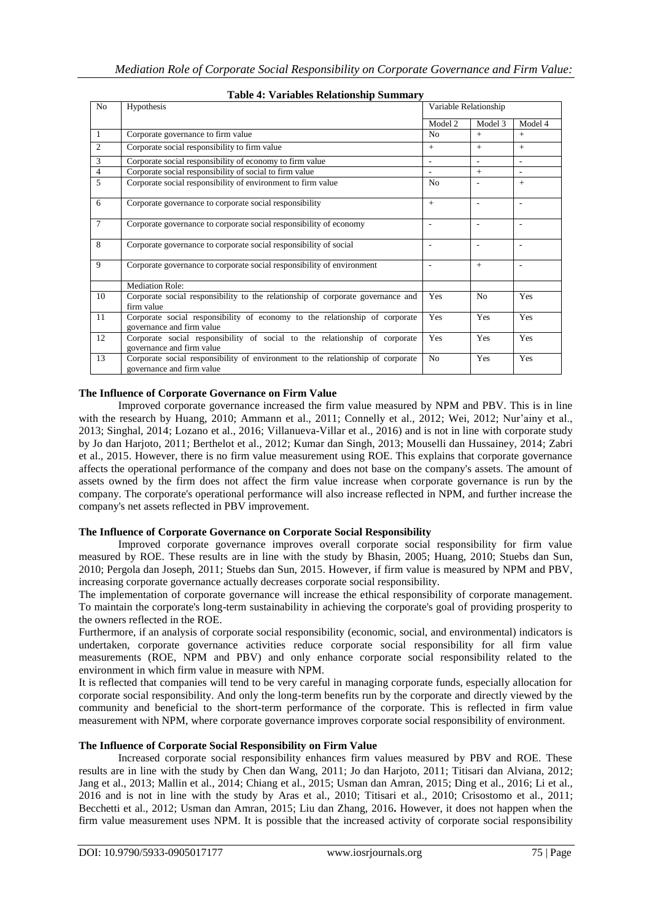| No             | Hypothesis                                                                                                   | Variable Relationship |         |            |
|----------------|--------------------------------------------------------------------------------------------------------------|-----------------------|---------|------------|
|                |                                                                                                              | Model 2               | Model 3 | Model 4    |
| $\mathbf{1}$   | Corporate governance to firm value                                                                           | N <sub>0</sub>        | $+$     | $+$        |
| $\overline{c}$ | Corporate social responsibility to firm value                                                                | $+$                   | $+$     | $+$        |
| 3              | Corporate social responsibility of economy to firm value                                                     |                       |         |            |
| $\overline{4}$ | Corporate social responsibility of social to firm value                                                      |                       | $+$     |            |
| 5              | Corporate social responsibility of environment to firm value                                                 | N <sub>0</sub>        | ٠       | $+$        |
| 6              | Corporate governance to corporate social responsibility                                                      | $+$                   | ٠       | ٠          |
| $\tau$         | Corporate governance to corporate social responsibility of economy                                           |                       | ٠       | ۰          |
| 8              | Corporate governance to corporate social responsibility of social                                            |                       | ٠       | ٠          |
| 9              | Corporate governance to corporate social responsibility of environment                                       |                       | $+$     | ٠          |
|                | <b>Mediation Role:</b>                                                                                       |                       |         |            |
| 10             | Corporate social responsibility to the relationship of corporate governance and<br>firm value                | Yes                   | No      | Yes        |
| 11             | Corporate social responsibility of economy to the relationship of corporate<br>governance and firm value     | Yes                   | Yes     | Yes        |
| 12             | Corporate social responsibility of social to the relationship of corporate<br>governance and firm value      | Yes                   | Yes     | <b>Yes</b> |
| 13             | Corporate social responsibility of environment to the relationship of corporate<br>governance and firm value | N <sub>o</sub>        | Yes     | Yes        |

# **Table 4: Variables Relationship Summary**

### **The Influence of Corporate Governance on Firm Value**

Improved corporate governance increased the firm value measured by NPM and PBV. This is in line with the research by [Huang, 2010;](#page-6-6) [Ammann et al., 2011;](#page-5-0) [Connelly et al., 2012;](#page-6-7) [Wei, 2012;](#page-6-8) [Nur'ainy et al.,](#page-6-9)  [2013;](#page-6-9) [Singhal, 2014;](#page-6-10) [Lozano et al., 2016;](#page-6-11) [Villanueva-Villar et al., 2016\)](#page-6-12) and is not in line with corporate study by [Jo dan Harjoto, 2011;](#page-6-13) [Berthelot et al., 2012;](#page-6-14) [Kumar dan Singh, 2013;](#page-6-15) [Mouselli dan Hussainey, 2014;](#page-6-16) [Zabri](#page-6-17)  [et al., 2015.](#page-6-17) However, there is no firm value measurement using ROE. This explains that corporate governance affects the operational performance of the company and does not base on the company's assets. The amount of assets owned by the firm does not affect the firm value increase when corporate governance is run by the company. The corporate's operational performance will also increase reflected in NPM, and further increase the company's net assets reflected in PBV improvement.

### **The Influence of Corporate Governance on Corporate Social Responsibility**

Improved corporate governance improves overall corporate social responsibility for firm value measured by ROE. These results are in line with the study by [Bhasin, 2005;](#page-6-25) [Huang, 2010;](#page-6-6) [Stuebs dan Sun,](#page-6-26)  [2010;](#page-6-26) [Pergola dan Joseph, 2011;](#page-6-27) [Stuebs dan Sun, 2015.](#page-6-28) However, if firm value is measured by NPM and PBV, increasing corporate governance actually decreases corporate social responsibility.

The implementation of corporate governance will increase the ethical responsibility of corporate management. To maintain the corporate's long-term sustainability in achieving the corporate's goal of providing prosperity to the owners reflected in the ROE.

Furthermore, if an analysis of corporate social responsibility (economic, social, and environmental) indicators is undertaken, corporate governance activities reduce corporate social responsibility for all firm value measurements (ROE, NPM and PBV) and only enhance corporate social responsibility related to the environment in which firm value in measure with NPM.

It is reflected that companies will tend to be very careful in managing corporate funds, especially allocation for corporate social responsibility. And only the long-term benefits run by the corporate and directly viewed by the community and beneficial to the short-term performance of the corporate. This is reflected in firm value measurement with NPM, where corporate governance improves corporate social responsibility of environment.

# **The Influence of Corporate Social Responsibility on Firm Value**

Increased corporate social responsibility enhances firm values measured by PBV and ROE. These results are in line with the study by [Chen dan Wang, 2011;](#page-6-19) [Jo dan Harjoto, 2011;](#page-6-13) [Titisari dan Alviana, 2012;](#page-6-30) [Jang et al., 2013;](#page-6-20) [Mallin et al., 2014;](#page-6-31) [Chiang et al., 2015;](#page-6-21) [Usman dan Amran, 2015;](#page-6-22) [Ding et al., 2016;](#page-6-23) [Li et al.,](#page-6-24)  [2016](#page-6-24) and is not in line with the study by [Aras et al., 2010;](#page-5-1) [Titisari et al., 2010;](#page-6-32) [Crisostomo et al., 2011;](#page-6-33) [Becchetti et al., 2012;](#page-6-34) [Usman dan Amran, 2015;](#page-6-22) [Liu dan Zhang, 2016](#page-6-35)**.** However, it does not happen when the firm value measurement uses NPM. It is possible that the increased activity of corporate social responsibility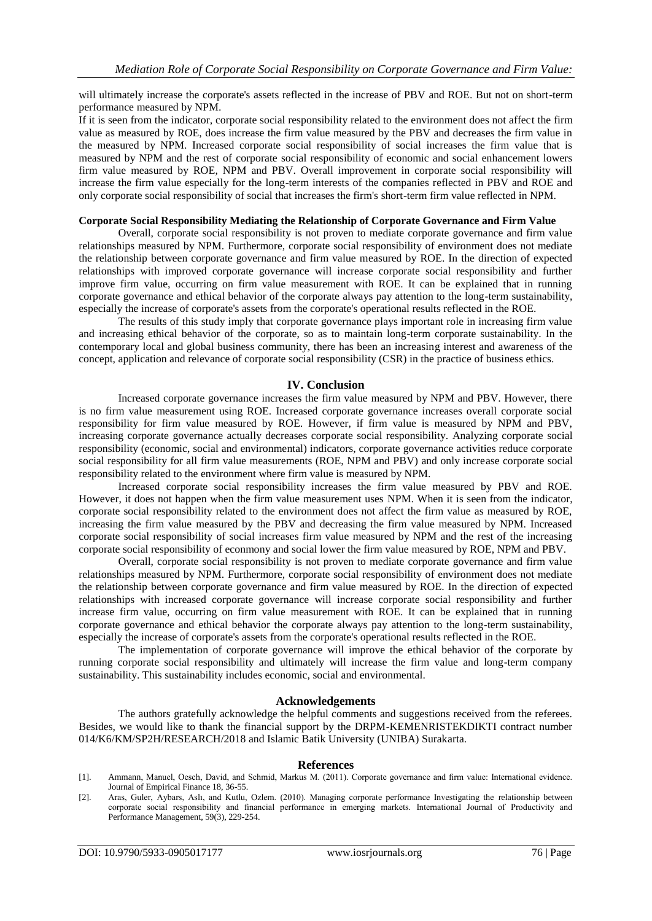will ultimately increase the corporate's assets reflected in the increase of PBV and ROE. But not on short-term performance measured by NPM.

If it is seen from the indicator, corporate social responsibility related to the environment does not affect the firm value as measured by ROE, does increase the firm value measured by the PBV and decreases the firm value in the measured by NPM. Increased corporate social responsibility of social increases the firm value that is measured by NPM and the rest of corporate social responsibility of economic and social enhancement lowers firm value measured by ROE, NPM and PBV. Overall improvement in corporate social responsibility will increase the firm value especially for the long-term interests of the companies reflected in PBV and ROE and only corporate social responsibility of social that increases the firm's short-term firm value reflected in NPM.

### **Corporate Social Responsibility Mediating the Relationship of Corporate Governance and Firm Value**

Overall, corporate social responsibility is not proven to mediate corporate governance and firm value relationships measured by NPM. Furthermore, corporate social responsibility of environment does not mediate the relationship between corporate governance and firm value measured by ROE. In the direction of expected relationships with improved corporate governance will increase corporate social responsibility and further improve firm value, occurring on firm value measurement with ROE. It can be explained that in running corporate governance and ethical behavior of the corporate always pay attention to the long-term sustainability, especially the increase of corporate's assets from the corporate's operational results reflected in the ROE.

The results of this study imply that corporate governance plays important role in increasing firm value and increasing ethical behavior of the corporate, so as to maintain long-term corporate sustainability. In the contemporary local and global business community, there has been an increasing interest and awareness of the concept, application and relevance of corporate social responsibility (CSR) in the practice of business ethics.

# **IV. Conclusion**

Increased corporate governance increases the firm value measured by NPM and PBV. However, there is no firm value measurement using ROE. Increased corporate governance increases overall corporate social responsibility for firm value measured by ROE. However, if firm value is measured by NPM and PBV, increasing corporate governance actually decreases corporate social responsibility. Analyzing corporate social responsibility (economic, social and environmental) indicators, corporate governance activities reduce corporate social responsibility for all firm value measurements (ROE, NPM and PBV) and only increase corporate social responsibility related to the environment where firm value is measured by NPM.

Increased corporate social responsibility increases the firm value measured by PBV and ROE. However, it does not happen when the firm value measurement uses NPM. When it is seen from the indicator, corporate social responsibility related to the environment does not affect the firm value as measured by ROE, increasing the firm value measured by the PBV and decreasing the firm value measured by NPM. Increased corporate social responsibility of social increases firm value measured by NPM and the rest of the increasing corporate social responsibility of econmony and social lower the firm value measured by ROE, NPM and PBV.

Overall, corporate social responsibility is not proven to mediate corporate governance and firm value relationships measured by NPM. Furthermore, corporate social responsibility of environment does not mediate the relationship between corporate governance and firm value measured by ROE. In the direction of expected relationships with increased corporate governance will increase corporate social responsibility and further increase firm value, occurring on firm value measurement with ROE. It can be explained that in running corporate governance and ethical behavior the corporate always pay attention to the long-term sustainability, especially the increase of corporate's assets from the corporate's operational results reflected in the ROE.

The implementation of corporate governance will improve the ethical behavior of the corporate by running corporate social responsibility and ultimately will increase the firm value and long-term company sustainability. This sustainability includes economic, social and environmental.

### **Acknowledgements**

The authors gratefully acknowledge the helpful comments and suggestions received from the referees. Besides, we would like to thank the financial support by the DRPM-KEMENRISTEKDIKTI contract number 014/K6/KM/SP2H/RESEARCH/2018 and Islamic Batik University (UNIBA) Surakarta.

### **References**

- <span id="page-5-0"></span>[1]. Ammann, Manuel, Oesch, David, and Schmid, Markus M. (2011). Corporate governance and firm value: International evidence. Journal of Empirical Finance 18, 36-55.
- <span id="page-5-1"></span>[2]. Aras, Guler, Aybars, Aslı, and Kutlu, Ozlem. (2010). Managing corporate performance Investigating the relationship between corporate social responsibility and financial performance in emerging markets. International Journal of Productivity and Performance Management, 59(3), 229-254.